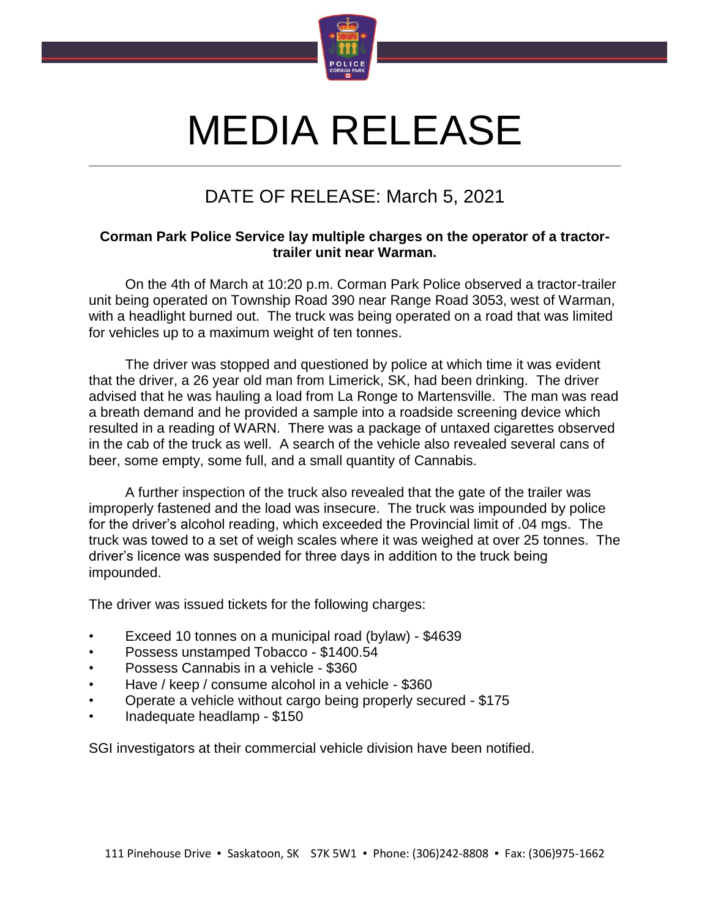

## MEDIA RELEASE

## DATE OF RELEASE: March 5, 2021

## **Corman Park Police Service lay multiple charges on the operator of a tractortrailer unit near Warman.**

On the 4th of March at 10:20 p.m. Corman Park Police observed a tractor-trailer unit being operated on Township Road 390 near Range Road 3053, west of Warman, with a headlight burned out. The truck was being operated on a road that was limited for vehicles up to a maximum weight of ten tonnes.

The driver was stopped and questioned by police at which time it was evident that the driver, a 26 year old man from Limerick, SK, had been drinking. The driver advised that he was hauling a load from La Ronge to Martensville. The man was read a breath demand and he provided a sample into a roadside screening device which resulted in a reading of WARN. There was a package of untaxed cigarettes observed in the cab of the truck as well. A search of the vehicle also revealed several cans of beer, some empty, some full, and a small quantity of Cannabis.

A further inspection of the truck also revealed that the gate of the trailer was improperly fastened and the load was insecure. The truck was impounded by police for the driver's alcohol reading, which exceeded the Provincial limit of .04 mgs. The truck was towed to a set of weigh scales where it was weighed at over 25 tonnes. The driver's licence was suspended for three days in addition to the truck being impounded.

The driver was issued tickets for the following charges:

- Exceed 10 tonnes on a municipal road (bylaw) \$4639
- Possess unstamped Tobacco \$1400.54
- Possess Cannabis in a vehicle \$360
- Have / keep / consume alcohol in a vehicle \$360
- Operate a vehicle without cargo being properly secured \$175
- Inadequate headlamp \$150

SGI investigators at their commercial vehicle division have been notified.